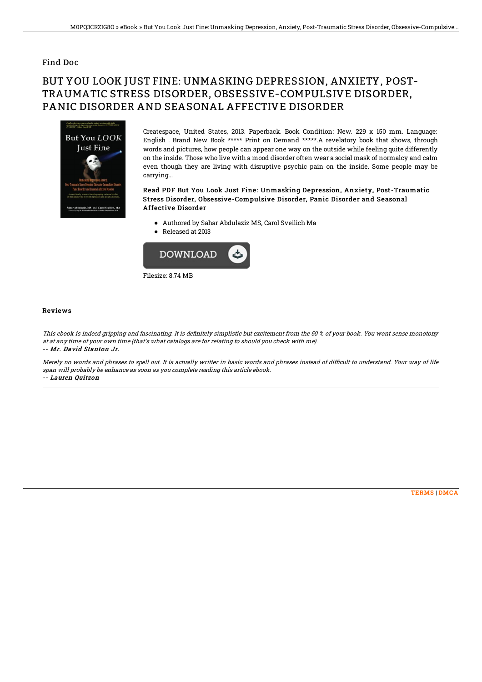### Find Doc

# BUT YOU LOOK JUST FINE: UNMASKING DEPRESSION, ANXIETY, POST-TRAUMATIC STRESS DISORDER, OBSESSIVE-COMPULSIVE DISORDER, PANIC DISORDER AND SEASONAL AFFECTIVE DISORDER



Createspace, United States, 2013. Paperback. Book Condition: New. 229 x 150 mm. Language: English . Brand New Book \*\*\*\*\* Print on Demand \*\*\*\*\*.A revelatory book that shows, through words and pictures, how people can appear one way on the outside while feeling quite differently on the inside. Those who live with a mood disorder often wear a social mask of normalcy and calm even though they are living with disruptive psychic pain on the inside. Some people may be carrying...

#### Read PDF But You Look Just Fine: Unmasking Depression, Anxiety, Post-Traumatic Stress Disorder, Obsessive-Compulsive Disorder, Panic Disorder and Seasonal Affective Disorder

- Authored by Sahar Abdulaziz MS, Carol Sveilich Ma
- Released at 2013



#### Reviews

This ebook is indeed gripping and fascinating. It is definitely simplistic but excitement from the 50 % of your book. You wont sense monotony at at any time of your own time (that's what catalogs are for relating to should you check with me). -- Mr. David Stanton Jr.

Merely no words and phrases to spell out. It is actually writter in basic words and phrases instead of difficult to understand. Your way of life span will probably be enhance as soon as you complete reading this article ebook. -- Lauren Quitzon